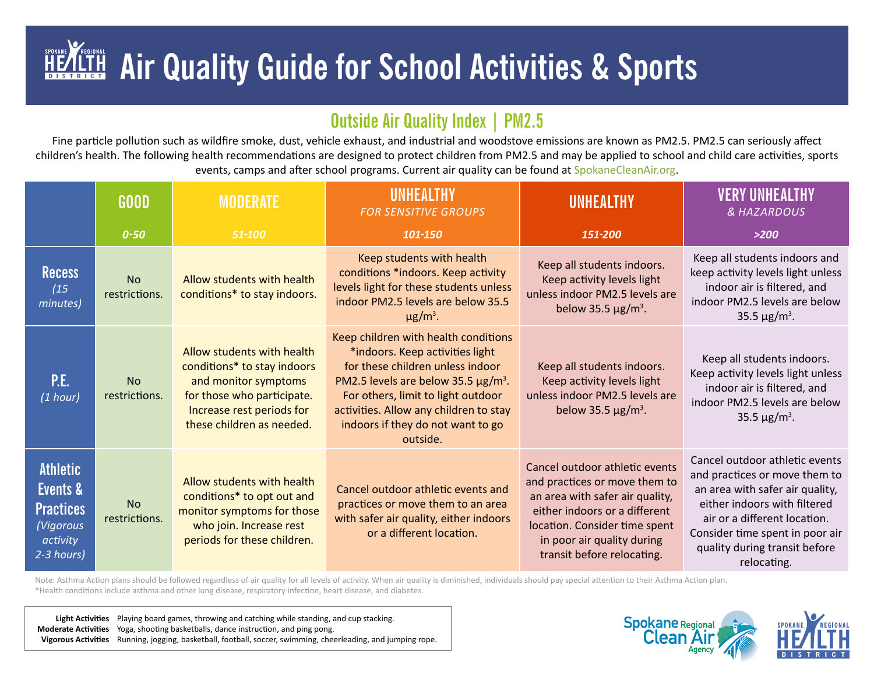## SPOKANE  **Air Quality Guide for School Activities & Sports**

## **Outside Air Quality Index | PM2.5**

Fine particle pollution such as wildfire smoke, dust, vehicle exhaust, and industrial and woodstove emissions are known as PM2.5. PM2.5 can seriously affect children's health. The following health recommendations are designed to protect children from PM2.5 and may be applied to school and child care activities, sports events, camps and after school programs. Current air quality can be found at [SpokaneCleanAir.org](http://SpokaneCleanAir.org).

|                                                                                        | <b>GOOD</b>                | MODERATE                                                                                                                                                                  | UNHEALTHY<br><b>FOR SENSITIVE GROUPS</b>                                                                                                                                                                                                                                                             | <b>UNHEALTHY</b>                                                                                                                                                                                                                 | <b>VERY UNHEALTHY</b><br><b>&amp; HAZARDOUS</b>                                                                                                                                                                                                       |
|----------------------------------------------------------------------------------------|----------------------------|---------------------------------------------------------------------------------------------------------------------------------------------------------------------------|------------------------------------------------------------------------------------------------------------------------------------------------------------------------------------------------------------------------------------------------------------------------------------------------------|----------------------------------------------------------------------------------------------------------------------------------------------------------------------------------------------------------------------------------|-------------------------------------------------------------------------------------------------------------------------------------------------------------------------------------------------------------------------------------------------------|
|                                                                                        | $0 - 50$                   | 51-100                                                                                                                                                                    | 101-150                                                                                                                                                                                                                                                                                              | 151-200                                                                                                                                                                                                                          | >200                                                                                                                                                                                                                                                  |
| <b>Recess</b><br>(15)<br>minutes)                                                      | <b>No</b><br>restrictions. | Allow students with health<br>conditions* to stay indoors.                                                                                                                | Keep students with health<br>conditions *indoors. Keep activity<br>levels light for these students unless<br>indoor PM2.5 levels are below 35.5<br>$\mu$ g/m <sup>3</sup> .                                                                                                                          | Keep all students indoors.<br>Keep activity levels light<br>unless indoor PM2.5 levels are<br>below 35.5 $\mu$ g/m <sup>3</sup> .                                                                                                | Keep all students indoors and<br>keep activity levels light unless<br>indoor air is filtered, and<br>indoor PM2.5 levels are below<br>35.5 $\mu$ g/m <sup>3</sup> .                                                                                   |
| P.E.<br>(1 hour)                                                                       | <b>No</b><br>restrictions. | Allow students with health<br>conditions* to stay indoors<br>and monitor symptoms<br>for those who participate.<br>Increase rest periods for<br>these children as needed. | Keep children with health conditions<br>*indoors. Keep activities light<br>for these children unless indoor<br>PM2.5 levels are below 35.5 $\mu$ g/m <sup>3</sup> .<br>For others, limit to light outdoor<br>activities. Allow any children to stay<br>indoors if they do not want to go<br>outside. | Keep all students indoors.<br>Keep activity levels light<br>unless indoor PM2.5 levels are<br>below 35.5 $\mu$ g/m <sup>3</sup> .                                                                                                | Keep all students indoors.<br>Keep activity levels light unless<br>indoor air is filtered, and<br>indoor PM2.5 levels are below<br>35.5 $\mu$ g/m <sup>3</sup> .                                                                                      |
| <b>Athletic</b><br>Events &<br><b>Practices</b><br>(Vigorous<br>activity<br>2-3 hours) | <b>No</b><br>restrictions. | Allow students with health<br>conditions* to opt out and<br>monitor symptoms for those<br>who join. Increase rest<br>periods for these children.                          | Cancel outdoor athletic events and<br>practices or move them to an area<br>with safer air quality, either indoors<br>or a different location.                                                                                                                                                        | Cancel outdoor athletic events<br>and practices or move them to<br>an area with safer air quality,<br>either indoors or a different<br>location. Consider time spent<br>in poor air quality during<br>transit before relocating. | Cancel outdoor athletic events<br>and practices or move them to<br>an area with safer air quality,<br>either indoors with filtered<br>air or a different location.<br>Consider time spent in poor air<br>quality during transit before<br>relocating. |

Note: Asthma Action plans should be followed regardless of air quality for all levels of activity. When air quality is diminished, individuals should pay special attention to their Asthma Action plan. \*Health conditions include asthma and other lung disease, respiratory infection, heart disease, and diabetes.